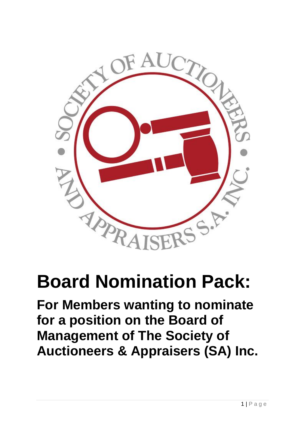

# **Board Nomination Pack:**

**For Members wanting to nominate for a position on the Board of Management of The Society of Auctioneers & Appraisers (SA) Inc.**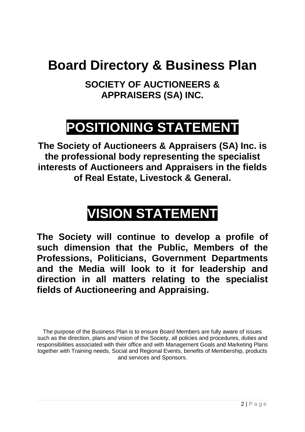## **Board Directory & Business Plan**

**SOCIETY OF AUCTIONEERS & APPRAISERS (SA) INC.**

## **POSITIONING STATEMENT**

**The Society of Auctioneers & Appraisers (SA) Inc. is the professional body representing the specialist interests of Auctioneers and Appraisers in the fields of Real Estate, Livestock & General.**

# **VISION STATEMENT**

**The Society will continue to develop a profile of such dimension that the Public, Members of the Professions, Politicians, Government Departments and the Media will look to it for leadership and direction in all matters relating to the specialist fields of Auctioneering and Appraising.**

The purpose of the Business Plan is to ensure Board Members are fully aware of issues such as the direction, plans and vision of the Society, all policies and procedures, duties and responsibilities associated with their office and with Management Goals and Marketing Plans together with Training needs, Social and Regional Events, benefits of Membership, products and services and Sponsors.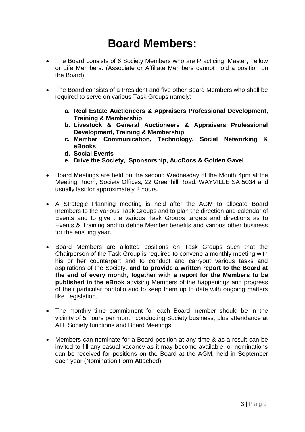### **Board Members:**

- The Board consists of 6 Society Members who are Practicing, Master, Fellow or Life Members. (Associate or Affiliate Members cannot hold a position on the Board).
- The Board consists of a President and five other Board Members who shall be required to serve on various Task Groups namely:
	- **a. Real Estate Auctioneers & Appraisers Professional Development, Training & Membership**
	- **b. Livestock & General Auctioneers & Appraisers Professional Development, Training & Membership**
	- **c. Member Communication, Technology, Social Networking & eBooks**
	- **d. Social Events**
	- **e. Drive the Society, Sponsorship, AucDocs & Golden Gavel**
- Board Meetings are held on the second Wednesday of the Month 4pm at the Meeting Room, Society Offices, 22 Greenhill Road, WAYVILLE SA 5034 and usually last for approximately 2 hours.
- A Strategic Planning meeting is held after the AGM to allocate Board members to the various Task Groups and to plan the direction and calendar of Events and to give the various Task Groups targets and directions as to Events & Training and to define Member benefits and various other business for the ensuing year.
- Board Members are allotted positions on Task Groups such that the Chairperson of the Task Group is required to convene a monthly meeting with his or her counterpart and to conduct and carryout various tasks and aspirations of the Society, **and to provide a written report to the Board at the end of every month, together with a report for the Members to be published in the eBook** advising Members of the happenings and progress of their particular portfolio and to keep them up to date with ongoing matters like Legislation.
- The monthly time commitment for each Board member should be in the vicinity of 5 hours per month conducting Society business, plus attendance at ALL Society functions and Board Meetings.
- Members can nominate for a Board position at any time & as a result can be invited to fill any casual vacancy as it may become available, or nominations can be received for positions on the Board at the AGM, held in September each year (Nomination Form Attached)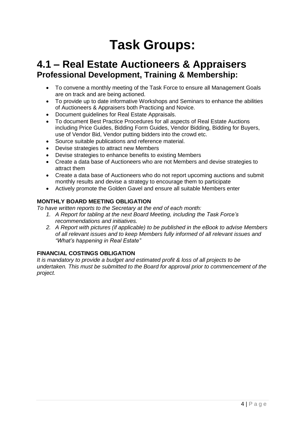## **Task Groups:**

### **4.1 – Real Estate Auctioneers & Appraisers Professional Development, Training & Membership:**

- To convene a monthly meeting of the Task Force to ensure all Management Goals are on track and are being actioned.
- To provide up to date informative Workshops and Seminars to enhance the abilities of Auctioneers & Appraisers both Practicing and Novice.
- Document guidelines for Real Estate Appraisals.
- To document Best Practice Procedures for all aspects of Real Estate Auctions including Price Guides, Bidding Form Guides, Vendor Bidding, Bidding for Buyers, use of Vendor Bid, Vendor putting bidders into the crowd etc.
- Source suitable publications and reference material.
- Devise strategies to attract new Members
- Devise strategies to enhance benefits to existing Members
- Create a data base of Auctioneers who are not Members and devise strategies to attract them
- Create a data base of Auctioneers who do not report upcoming auctions and submit monthly results and devise a strategy to encourage them to participate
- Actively promote the Golden Gavel and ensure all suitable Members enter

### **MONTHLY BOARD MEETING OBLIGATION**

*To have written reports to the Secretary at the end of each month:*

- *1. A Report for tabling at the next Board Meeting, including the Task Force's recommendations and initiatives.*
- *2. A Report with pictures (if applicable) to be published in the eBook to advise Members of all relevant issues and to keep Members fully informed of all relevant issues and "What's happening in Real Estate"*

### **FINANCIAL COSTINGS OBLIGATION**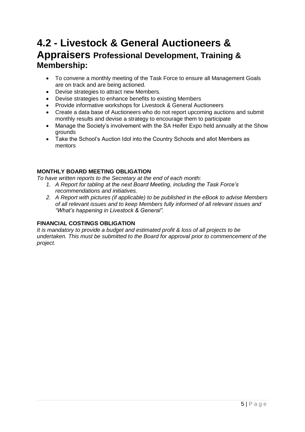### **4.2 - Livestock & General Auctioneers & Appraisers Professional Development, Training & Membership:**

- To convene a monthly meeting of the Task Force to ensure all Management Goals are on track and are being actioned.
- Devise strategies to attract new Members.
- Devise strategies to enhance benefits to existing Members
- Provide informative workshops for Livestock & General Auctioneers
- Create a data base of Auctioneers who do not report upcoming auctions and submit monthly results and devise a strategy to encourage them to participate
- Manage the Society's involvement with the SA Heifer Expo held annually at the Show grounds
- Take the School's Auction Idol into the Country Schools and allot Members as mentors

#### **MONTHLY BOARD MEETING OBLIGATION**

*To have written reports to the Secretary at the end of each month:*

- *1. A Report for tabling at the next Board Meeting, including the Task Force's recommendations and initiatives.*
- *2. A Report with pictures (if applicable) to be published in the eBook to advise Members of all relevant issues and to keep Members fully informed of all relevant issues and "What's happening in Livestock & General".*

### **FINANCIAL COSTINGS OBLIGATION**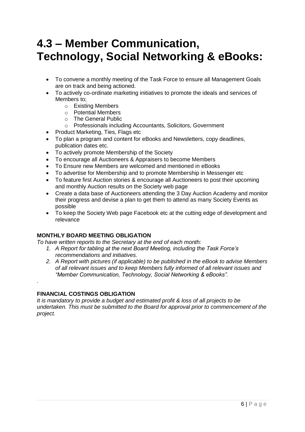### **4.3 – Member Communication, Technology, Social Networking & eBooks:**

- To convene a monthly meeting of the Task Force to ensure all Management Goals are on track and being actioned.
- To actively co-ordinate marketing initiatives to promote the ideals and services of Members to;
	- o Existing Members
	- o Potential Members
	- o The General Public
	- o Professionals including Accountants, Solicitors, Government
- Product Marketing, Ties, Flags etc
- To plan a program and content for eBooks and Newsletters, copy deadlines, publication dates etc.
- To actively promote Membership of the Society
- To encourage all Auctioneers & Appraisers to become Members
- To Ensure new Members are welcomed and mentioned in eBooks
- To advertise for Membership and to promote Membership in Messenger etc
- To feature first Auction stories & encourage all Auctioneers to post their upcoming and monthly Auction results on the Society web page
- Create a data base of Auctioneers attending the 3 Day Auction Academy and monitor their progress and devise a plan to get them to attend as many Society Events as possible
- To keep the Society Web page Facebook etc at the cutting edge of development and relevance

### **MONTHLY BOARD MEETING OBLIGATION**

*To have written reports to the Secretary at the end of each month:*

- *1. A Report for tabling at the next Board Meeting, including the Task Force's recommendations and initiatives.*
- *2. A Report with pictures (if applicable) to be published in the eBook to advise Members of all relevant issues and to keep Members fully informed of all relevant issues and "Member Communication, Technology, Social Networking & eBooks".*

#### **FINANCIAL COSTINGS OBLIGATION**

*.*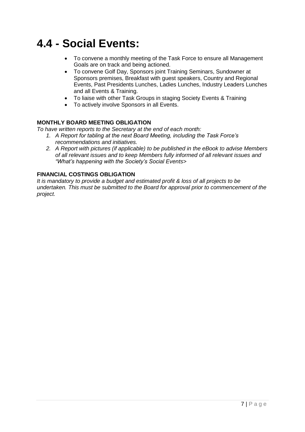### **4.4 - Social Events:**

- To convene a monthly meeting of the Task Force to ensure all Management Goals are on track and being actioned.
- To convene Golf Day, Sponsors joint Training Seminars, Sundowner at Sponsors premises, Breakfast with guest speakers, Country and Regional Events, Past Presidents Lunches, Ladies Lunches, Industry Leaders Lunches and all Events & Training.
- To liaise with other Task Groups in staging Society Events & Training
- To actively involve Sponsors in all Events.

#### **MONTHLY BOARD MEETING OBLIGATION**

*To have written reports to the Secretary at the end of each month:*

- *1. A Report for tabling at the next Board Meeting, including the Task Force's recommendations and initiatives.*
- *2. A Report with pictures (if applicable) to be published in the eBook to advise Members of all relevant issues and to keep Members fully informed of all relevant issues and "What's happening with the Society's Social Events>*

#### **FINANCIAL COSTINGS OBLIGATION**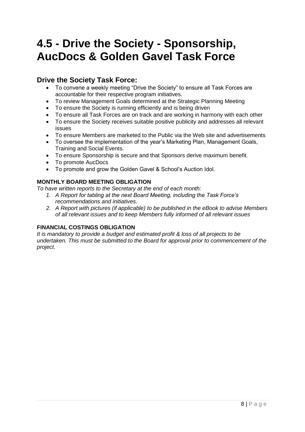### **4.5 - Drive the Society - Sponsorship, AucDocs & Golden Gavel Task Force**

### **Drive the Society Task Force:**

- To convene a weekly meeting "Drive the Society" to ensure all Task Forces are accountable for their respective program initiatives.
- To review Management Goals determined at the Strategic Planning Meeting
- To ensure the Society is running efficiently and is being driven
- To ensure all Task Forces are on track and are working in harmony with each other
- To ensure the Society receives suitable positive publicity and addresses all relevant issues
- To ensure Members are marketed to the Public via the Web site and advertisements
- To oversee the implementation of the year's Marketing Plan, Management Goals, Training and Social Events.
- To ensure Sponsorship is secure and that Sponsors derive maximum benefit.
- To promote AucDocs
- To promote and grow the Golden Gavel & School's Auction Idol.

### **MONTHLY BOARD MEETING OBLIGATION**

*To have written reports to the Secretary at the end of each month:*

- *1. A Report for tabling at the next Board Meeting, including the Task Force's recommendations and initiatives.*
- *2. A Report with pictures (if applicable) to be published in the eBook to advise Members of all relevant issues and to keep Members fully informed of all relevant issues*

### **FINANCIAL COSTINGS OBLIGATION**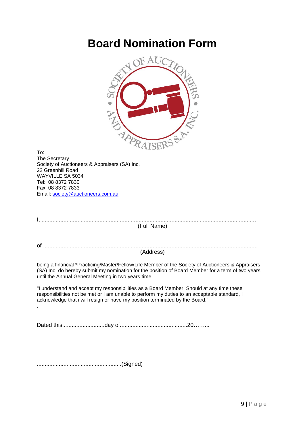### **Board Nomination Form**



To: The Secretary Society of Auctioneers & Appraisers (SA) Inc. 22 Greenhill Road WAYVILLE SA 5034 Tel: 08 8372 7830 Fax: 08 8372 7833 Email: [society@auctioneers.com.au](mailto:society@auctioneers.com.au)

| (Full Name)                                                                                                                                                                                                                                                              |
|--------------------------------------------------------------------------------------------------------------------------------------------------------------------------------------------------------------------------------------------------------------------------|
|                                                                                                                                                                                                                                                                          |
|                                                                                                                                                                                                                                                                          |
| (Address)                                                                                                                                                                                                                                                                |
| being a financial *Practicing/Master/Fellow/Life Member of the Society of Auctioneers & Appraisers<br>(SA) Inc. do hereby submit my nomination for the position of Board Member for a term of two years<br>until the Annual General Meeting in two years time.           |
| "I understand and accept my responsibilities as a Board Member. Should at any time these<br>responsibilities not be met or I am unable to perform my duties to an acceptable standard, I<br>acknowledge that i will resign or have my position terminated by the Board." |
|                                                                                                                                                                                                                                                                          |
|                                                                                                                                                                                                                                                                          |
| (Signed)                                                                                                                                                                                                                                                                 |